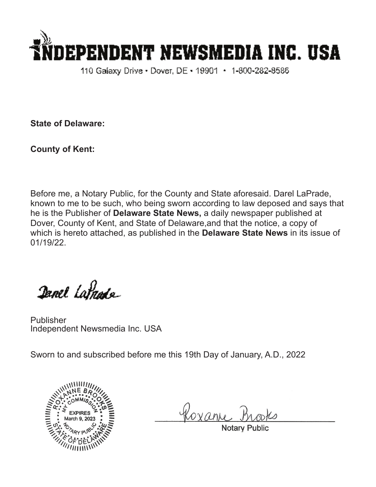

110 Galaxy Drive • Dover, DE • 19901 • 1-800-282-8586

**State of Delaware:**

**County of Kent:**

Before me, a Notary Public, for the County and State aforesaid. Darel LaPrade, known to me to be such, who being sworn according to law deposed and says that he is the Publisher of **Delaware State News,** a daily newspaper published at Dover, County of Kent, and State of Delaware,and that the notice, a copy of which is hereto attached, as published in the **Delaware State News** in its issue of 01/19/22.

Danel Latnade

Publisher Independent Newsmedia Inc. USA

Sworn to and subscribed before me this 19th Day of January, A.D., 2022



Roxan

**Notary Pub**